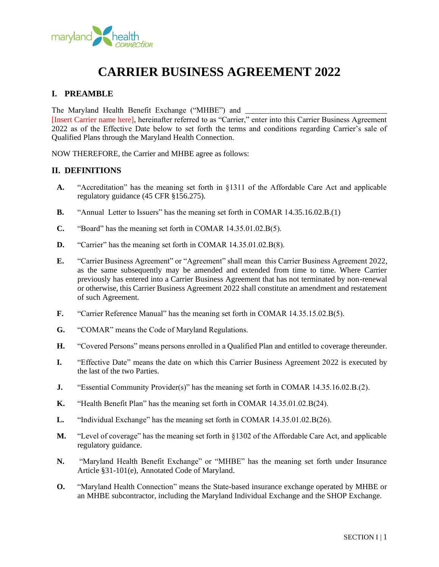

# **CARRIER BUSINESS AGREEMENT 2022**

# **I. PREAMBLE**

The Maryland Health Benefit Exchange ("MHBE") and

[Insert Carrier name here], hereinafter referred to as "Carrier," enter into this Carrier Business Agreement 2022 as of the Effective Date below to set forth the terms and conditions regarding Carrier's sale of Qualified Plans through the Maryland Health Connection.

NOW THEREFORE, the Carrier and MHBE agree as follows:

#### **II. DEFINITIONS**

- **A.** "Accreditation" has the meaning set forth in §1311 of the Affordable Care Act and applicable regulatory guidance (45 CFR §156.275).
- **B.** "Annual Letter to Issuers" has the meaning set forth in COMAR 14.35.16.02.B.(1)
- **C.** "Board" has the meaning set forth in COMAR 14.35.01.02.B(5).
- **D.** "Carrier" has the meaning set forth in COMAR 14.35.01.02.B(8).
- **E.** "Carrier Business Agreement" or "Agreement" shall mean this Carrier Business Agreement 2022, as the same subsequently may be amended and extended from time to time. Where Carrier previously has entered into a Carrier Business Agreement that has not terminated by non-renewal or otherwise, this Carrier Business Agreement 2022 shall constitute an amendment and restatement of such Agreement.
- **F.** "Carrier Reference Manual" has the meaning set forth in COMAR 14.35.15.02.B(5).
- **G.** "COMAR" means the Code of Maryland Regulations.
- **H.** "Covered Persons" means persons enrolled in a Qualified Plan and entitled to coverage thereunder.
- **I.** "Effective Date" means the date on which this Carrier Business Agreement 2022 is executed by the last of the two Parties.
- **J.** "Essential Community Provider(s)" has the meaning set forth in COMAR 14.35.16.02.B.(2).
- **K.** "Health Benefit Plan" has the meaning set forth in COMAR 14.35.01.02.B(24).
- **L.** "Individual Exchange" has the meaning set forth in COMAR 14.35.01.02.B(26).
- **M.** "Level of coverage" has the meaning set forth in §1302 of the Affordable Care Act, and applicable regulatory guidance.
- **N.** "Maryland Health Benefit Exchange" or "MHBE" has the meaning set forth under Insurance Article §31-101(e), Annotated Code of Maryland.
- **O.** "Maryland Health Connection" means the State-based insurance exchange operated by MHBE or an MHBE subcontractor, including the Maryland Individual Exchange and the SHOP Exchange.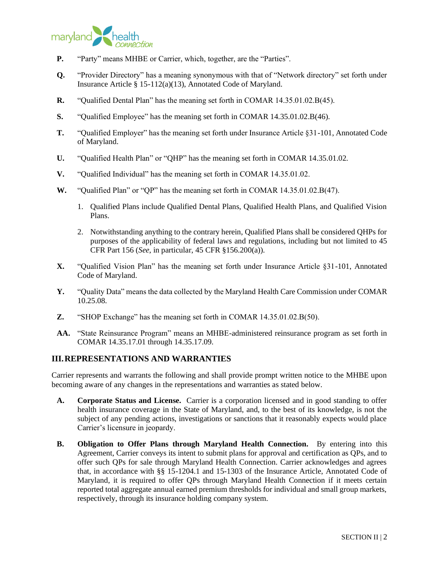

- **P.** "Party" means MHBE or Carrier, which, together, are the "Parties".
- **Q.** "Provider Directory" has a meaning synonymous with that of "Network directory" set forth under Insurance Article § 15-112(a)(13), Annotated Code of Maryland.
- **R.** "Qualified Dental Plan" has the meaning set forth in COMAR 14.35.01.02.B(45).
- **S.** "Qualified Employee" has the meaning set forth in COMAR 14.35.01.02.B(46).
- **T.** "Qualified Employer" has the meaning set forth under Insurance Article §31-101, Annotated Code of Maryland.
- **U.** "Qualified Health Plan" or "QHP" has the meaning set forth in COMAR 14.35.01.02.
- **V.** "Qualified Individual" has the meaning set forth in COMAR 14.35.01.02.
- **W.** "Qualified Plan" or "QP" has the meaning set forth in COMAR 14.35.01.02.B(47).
	- 1. Qualified Plans include Qualified Dental Plans, Qualified Health Plans, and Qualified Vision Plans.
	- 2. Notwithstanding anything to the contrary herein, Qualified Plans shall be considered QHPs for purposes of the applicability of federal laws and regulations, including but not limited to 45 CFR Part 156 (*See*, in particular, 45 CFR §156.200(a)).
- **X.** "Qualified Vision Plan" has the meaning set forth under Insurance Article §31-101, Annotated Code of Maryland.
- **Y.** "Quality Data" means the data collected by the Maryland Health Care Commission under COMAR 10.25.08.
- **Z.** "SHOP Exchange" has the meaning set forth in COMAR 14.35.01.02.B(50).
- **AA.** "State Reinsurance Program" means an MHBE-administered reinsurance program as set forth in COMAR 14.35.17.01 through 14.35.17.09.

## **III.REPRESENTATIONS AND WARRANTIES**

Carrier represents and warrants the following and shall provide prompt written notice to the MHBE upon becoming aware of any changes in the representations and warranties as stated below.

- **A. Corporate Status and License.** Carrier is a corporation licensed and in good standing to offer health insurance coverage in the State of Maryland, and, to the best of its knowledge, is not the subject of any pending actions, investigations or sanctions that it reasonably expects would place Carrier's licensure in jeopardy.
- **B. Obligation to Offer Plans through Maryland Health Connection.** By entering into this Agreement, Carrier conveys its intent to submit plans for approval and certification as QPs, and to offer such QPs for sale through Maryland Health Connection. Carrier acknowledges and agrees that, in accordance with §§ 15-1204.1 and 15-1303 of the Insurance Article, Annotated Code of Maryland, it is required to offer QPs through Maryland Health Connection if it meets certain reported total aggregate annual earned premium thresholds for individual and small group markets, respectively, through its insurance holding company system.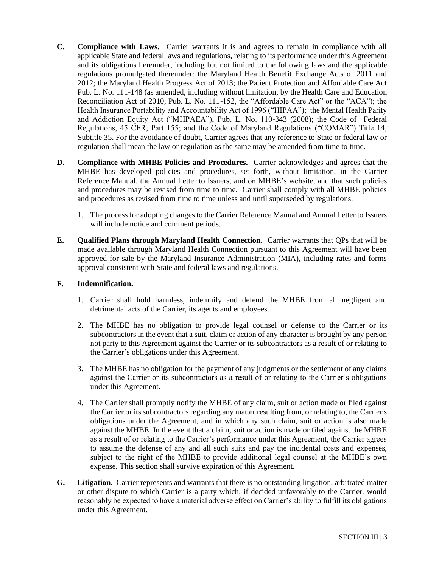- **C. Compliance with Laws.** Carrier warrants it is and agrees to remain in compliance with all applicable State and federal laws and regulations, relating to its performance under this Agreement and its obligations hereunder, including but not limited to the following laws and the applicable regulations promulgated thereunder: the Maryland Health Benefit Exchange Acts of 2011 and 2012; the Maryland Health Progress Act of 2013; the Patient Protection and Affordable Care Act Pub. L. No. 111-148 (as amended, including without limitation, by the Health Care and Education Reconciliation Act of 2010, Pub. L. No. 111-152, the "Affordable Care Act" or the "ACA"); the Health Insurance Portability and Accountability Act of 1996 ("HIPAA"); the Mental Health Parity and Addiction Equity Act ("MHPAEA"), Pub. L. No. 110-343 (2008); the Code of Federal Regulations, 45 CFR, Part 155; and the Code of Maryland Regulations ("COMAR") Title 14, Subtitle 35. For the avoidance of doubt, Carrier agrees that any reference to State or federal law or regulation shall mean the law or regulation as the same may be amended from time to time.
- **D. Compliance with MHBE Policies and Procedures.** Carrier acknowledges and agrees that the MHBE has developed policies and procedures, set forth, without limitation, in the Carrier Reference Manual, the Annual Letter to Issuers, and on MHBE's website, and that such policies and procedures may be revised from time to time. Carrier shall comply with all MHBE policies and procedures as revised from time to time unless and until superseded by regulations.
	- 1. The process for adopting changes to the Carrier Reference Manual and Annual Letter to Issuers will include notice and comment periods.
- **E. Qualified Plans through Maryland Health Connection.** Carrier warrants that QPs that will be made available through Maryland Health Connection pursuant to this Agreement will have been approved for sale by the Maryland Insurance Administration (MIA), including rates and forms approval consistent with State and federal laws and regulations.

## **F. Indemnification.**

- 1. Carrier shall hold harmless, indemnify and defend the MHBE from all negligent and detrimental acts of the Carrier, its agents and employees.
- 2. The MHBE has no obligation to provide legal counsel or defense to the Carrier or its subcontractors in the event that a suit, claim or action of any character is brought by any person not party to this Agreement against the Carrier or its subcontractors as a result of or relating to the Carrier's obligations under this Agreement.
- 3. The MHBE has no obligation for the payment of any judgments or the settlement of any claims against the Carrier or its subcontractors as a result of or relating to the Carrier's obligations under this Agreement.
- 4. The Carrier shall promptly notify the MHBE of any claim, suit or action made or filed against the Carrier or its subcontractors regarding any matter resulting from, or relating to, the Carrier's obligations under the Agreement, and in which any such claim, suit or action is also made against the MHBE. In the event that a claim, suit or action is made or filed against the MHBE as a result of or relating to the Carrier's performance under this Agreement, the Carrier agrees to assume the defense of any and all such suits and pay the incidental costs and expenses, subject to the right of the MHBE to provide additional legal counsel at the MHBE's own expense. This section shall survive expiration of this Agreement.
- **G. Litigation.** Carrier represents and warrants that there is no outstanding litigation, arbitrated matter or other dispute to which Carrier is a party which, if decided unfavorably to the Carrier, would reasonably be expected to have a material adverse effect on Carrier's ability to fulfill its obligations under this Agreement.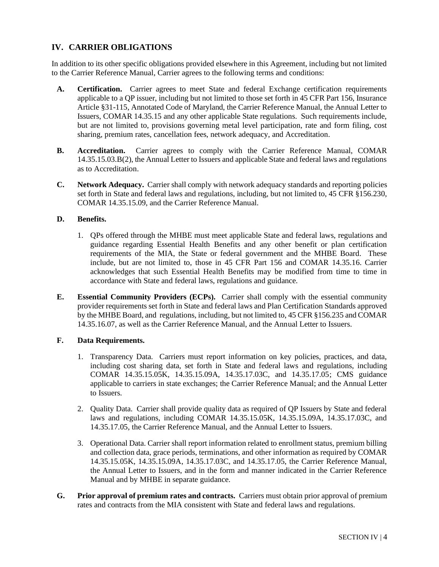# **IV. CARRIER OBLIGATIONS**

In addition to its other specific obligations provided elsewhere in this Agreement, including but not limited to the Carrier Reference Manual, Carrier agrees to the following terms and conditions:

- **A. Certification.** Carrier agrees to meet State and federal Exchange certification requirements applicable to a QP issuer, including but not limited to those set forth in 45 CFR Part 156, Insurance Article §31-115, Annotated Code of Maryland, the Carrier Reference Manual, the Annual Letter to Issuers, COMAR 14.35.15 and any other applicable State regulations. Such requirements include, but are not limited to, provisions governing metal level participation, rate and form filing, cost sharing, premium rates, cancellation fees, network adequacy, and Accreditation.
- **B. Accreditation.** Carrier agrees to comply with the Carrier Reference Manual, COMAR 14.35.15.03.B(2), the Annual Letter to Issuers and applicable State and federal laws and regulations as to Accreditation.
- **C. Network Adequacy.** Carrier shall comply with network adequacy standards and reporting policies set forth in State and federal laws and regulations, including, but not limited to, 45 CFR §156.230, COMAR 14.35.15.09, and the Carrier Reference Manual.

#### **D. Benefits.**

- 1. QPs offered through the MHBE must meet applicable State and federal laws, regulations and guidance regarding Essential Health Benefits and any other benefit or plan certification requirements of the MIA, the State or federal government and the MHBE Board. These include, but are not limited to, those in 45 CFR Part 156 and COMAR 14.35.16. Carrier acknowledges that such Essential Health Benefits may be modified from time to time in accordance with State and federal laws, regulations and guidance.
- **E. Essential Community Providers (ECPs).** Carrier shall comply with the essential community provider requirements set forth in State and federal laws and Plan Certification Standards approved by the MHBE Board, and regulations, including, but not limited to, 45 CFR §156.235 and COMAR 14.35.16.07, as well as the Carrier Reference Manual, and the Annual Letter to Issuers.

#### **F. Data Requirements.**

- 1. Transparency Data. Carriers must report information on key policies, practices, and data, including cost sharing data, set forth in State and federal laws and regulations, including COMAR 14.35.15.05K, 14.35.15.09A, 14.35.17.03C, and 14.35.17.05; CMS guidance applicable to carriers in state exchanges; the Carrier Reference Manual; and the Annual Letter to Issuers.
- 2. Quality Data. Carrier shall provide quality data as required of QP Issuers by State and federal laws and regulations, including COMAR 14.35.15.05K, 14.35.15.09A, 14.35.17.03C, and 14.35.17.05, the Carrier Reference Manual, and the Annual Letter to Issuers.
- 3. Operational Data. Carrier shall report information related to enrollment status, premium billing and collection data, grace periods, terminations, and other information as required by COMAR 14.35.15.05K, 14.35.15.09A, 14.35.17.03C, and 14.35.17.05, the Carrier Reference Manual, the Annual Letter to Issuers, and in the form and manner indicated in the Carrier Reference Manual and by MHBE in separate guidance.
- **G. Prior approval of premium rates and contracts.** Carriers must obtain prior approval of premium rates and contracts from the MIA consistent with State and federal laws and regulations.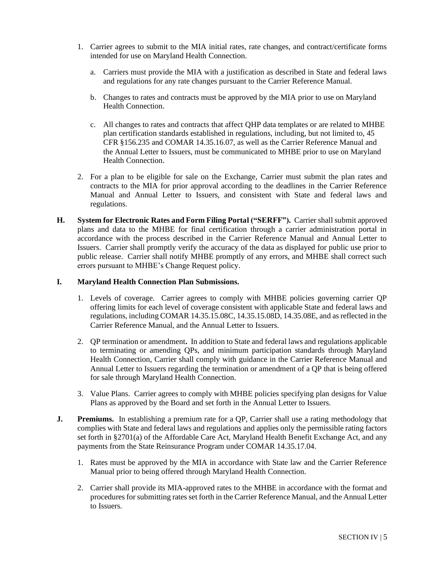- 1. Carrier agrees to submit to the MIA initial rates, rate changes, and contract/certificate forms intended for use on Maryland Health Connection.
	- a. Carriers must provide the MIA with a justification as described in State and federal laws and regulations for any rate changes pursuant to the Carrier Reference Manual.
	- b. Changes to rates and contracts must be approved by the MIA prior to use on Maryland Health Connection.
	- c. All changes to rates and contracts that affect QHP data templates or are related to MHBE plan certification standards established in regulations, including, but not limited to, 45 CFR §156.235 and COMAR 14.35.16.07, as well as the Carrier Reference Manual and the Annual Letter to Issuers, must be communicated to MHBE prior to use on Maryland Health Connection.
- 2. For a plan to be eligible for sale on the Exchange, Carrier must submit the plan rates and contracts to the MIA for prior approval according to the deadlines in the Carrier Reference Manual and Annual Letter to Issuers, and consistent with State and federal laws and regulations.
- **H. System for Electronic Rates and Form Filing Portal ("SERFF").** Carrier shall submit approved plans and data to the MHBE for final certification through a carrier administration portal in accordance with the process described in the Carrier Reference Manual and Annual Letter to Issuers. Carrier shall promptly verify the accuracy of the data as displayed for public use prior to public release. Carrier shall notify MHBE promptly of any errors, and MHBE shall correct such errors pursuant to MHBE's Change Request policy.

#### **I. Maryland Health Connection Plan Submissions.**

- 1. Levels of coverage. Carrier agrees to comply with MHBE policies governing carrier QP offering limits for each level of coverage consistent with applicable State and federal laws and regulations, including COMAR 14.35.15.08C, 14.35.15.08D, 14.35.08E, and as reflected in the Carrier Reference Manual, and the Annual Letter to Issuers.
- 2. QP termination or amendment**.** In addition to State and federal laws and regulations applicable to terminating or amending QPs, and minimum participation standards through Maryland Health Connection, Carrier shall comply with guidance in the Carrier Reference Manual and Annual Letter to Issuers regarding the termination or amendment of a QP that is being offered for sale through Maryland Health Connection.
- 3. Value Plans. Carrier agrees to comply with MHBE policies specifying plan designs for Value Plans as approved by the Board and set forth in the Annual Letter to Issuers.
- **J. Premiums.** In establishing a premium rate for a QP, Carrier shall use a rating methodology that complies with State and federal laws and regulations and applies only the permissible rating factors set forth in §2701(a) of the Affordable Care Act, Maryland Health Benefit Exchange Act, and any payments from the State Reinsurance Program under COMAR 14.35.17.04.
	- 1. Rates must be approved by the MIA in accordance with State law and the Carrier Reference Manual prior to being offered through Maryland Health Connection.
	- 2. Carrier shall provide its MIA-approved rates to the MHBE in accordance with the format and procedures for submitting rates set forth in the Carrier Reference Manual, and the Annual Letter to Issuers.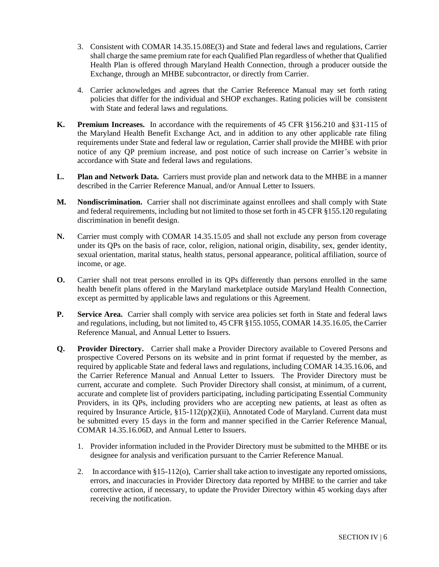- 3. Consistent with COMAR 14.35.15.08E(3) and State and federal laws and regulations, Carrier shall charge the same premium rate for each Qualified Plan regardless of whether that Qualified Health Plan is offered through Maryland Health Connection, through a producer outside the Exchange, through an MHBE subcontractor, or directly from Carrier.
- 4. Carrier acknowledges and agrees that the Carrier Reference Manual may set forth rating policies that differ for the individual and SHOP exchanges. Rating policies will be consistent with State and federal laws and regulations.
- **K. Premium Increases.** In accordance with the requirements of 45 CFR §156.210 and §31-115 of the Maryland Health Benefit Exchange Act, and in addition to any other applicable rate filing requirements under State and federal law or regulation, Carrier shall provide the MHBE with prior notice of any QP premium increase, and post notice of such increase on Carrier's website in accordance with State and federal laws and regulations.
- **L. Plan and Network Data.** Carriers must provide plan and network data to the MHBE in a manner described in the Carrier Reference Manual, and/or Annual Letter to Issuers.
- **M. Nondiscrimination.** Carrier shall not discriminate against enrollees and shall comply with State and federal requirements, including but not limited to those set forth in 45 CFR §155.120 regulating discrimination in benefit design.
- **N.** Carrier must comply with COMAR 14.35.15.05 and shall not exclude any person from coverage under its QPs on the basis of race, color, religion, national origin, disability, sex, gender identity, sexual orientation, marital status, health status, personal appearance, political affiliation, source of income, or age.
- **O.** Carrier shall not treat persons enrolled in its QPs differently than persons enrolled in the same health benefit plans offered in the Maryland marketplace outside Maryland Health Connection, except as permitted by applicable laws and regulations or this Agreement.
- **P.** Service Area. Carrier shall comply with service area policies set forth in State and federal laws and regulations, including, but not limited to, 45 CFR §155.1055, COMAR 14.35.16.05, the Carrier Reference Manual, and Annual Letter to Issuers.
- **Q. Provider Directory.** Carrier shall make a Provider Directory available to Covered Persons and prospective Covered Persons on its website and in print format if requested by the member, as required by applicable State and federal laws and regulations, including COMAR 14.35.16.06, and the Carrier Reference Manual and Annual Letter to Issuers. The Provider Directory must be current, accurate and complete. Such Provider Directory shall consist, at minimum, of a current, accurate and complete list of providers participating, including participating Essential Community Providers, in its QPs, including providers who are accepting new patients, at least as often as required by Insurance Article,  $\S 15-112(p)(2)(ii)$ , Annotated Code of Maryland. Current data must be submitted every 15 days in the form and manner specified in the Carrier Reference Manual, COMAR 14.35.16.06D, and Annual Letter to Issuers.
	- 1. Provider information included in the Provider Directory must be submitted to the MHBE or its designee for analysis and verification pursuant to the Carrier Reference Manual.
	- 2. In accordance with §15-112(o), Carrier shall take action to investigate any reported omissions, errors, and inaccuracies in Provider Directory data reported by MHBE to the carrier and take corrective action, if necessary, to update the Provider Directory within 45 working days after receiving the notification.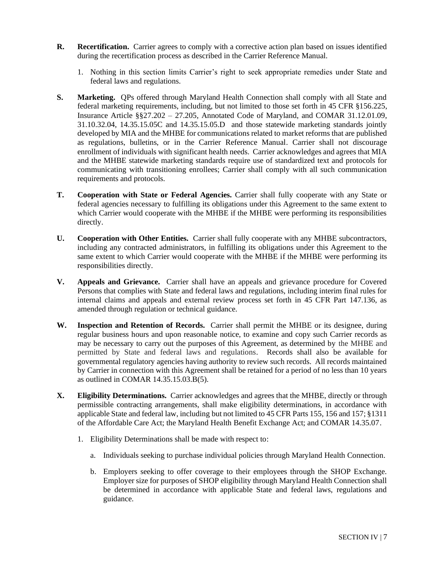- **R. Recertification.** Carrier agrees to comply with a corrective action plan based on issues identified during the recertification process as described in the Carrier Reference Manual.
	- 1. Nothing in this section limits Carrier's right to seek appropriate remedies under State and federal laws and regulations.
- **S. Marketing.** QPs offered through Maryland Health Connection shall comply with all State and federal marketing requirements, including, but not limited to those set forth in 45 CFR §156.225, Insurance Article §§27.202 – 27.205, Annotated Code of Maryland, and COMAR 31.12.01.09, 31.10.32.04, 14.35.15.05C and 14.35.15.05.D and those statewide marketing standards jointly developed by MIA and the MHBE for communications related to market reforms that are published as regulations, bulletins, or in the Carrier Reference Manual. Carrier shall not discourage enrollment of individuals with significant health needs. Carrier acknowledges and agrees that MIA and the MHBE statewide marketing standards require use of standardized text and protocols for communicating with transitioning enrollees; Carrier shall comply with all such communication requirements and protocols.
- **T. Cooperation with State or Federal Agencies.** Carrier shall fully cooperate with any State or federal agencies necessary to fulfilling its obligations under this Agreement to the same extent to which Carrier would cooperate with the MHBE if the MHBE were performing its responsibilities directly.
- **U. Cooperation with Other Entities.** Carrier shall fully cooperate with any MHBE subcontractors, including any contracted administrators, in fulfilling its obligations under this Agreement to the same extent to which Carrier would cooperate with the MHBE if the MHBE were performing its responsibilities directly.
- **V. Appeals and Grievance.** Carrier shall have an appeals and grievance procedure for Covered Persons that complies with State and federal laws and regulations, including interim final rules for internal claims and appeals and external review process set forth in 45 CFR Part 147.136, as amended through regulation or technical guidance.
- **W. Inspection and Retention of Records.** Carrier shall permit the MHBE or its designee, during regular business hours and upon reasonable notice, to examine and copy such Carrier records as may be necessary to carry out the purposes of this Agreement, as determined by the MHBE and permitted by State and federal laws and regulations. Records shall also be available for governmental regulatory agencies having authority to review such records. All records maintained by Carrier in connection with this Agreement shall be retained for a period of no less than 10 years as outlined in COMAR 14.35.15.03.B(5).
- **X. Eligibility Determinations.** Carrier acknowledges and agrees that the MHBE, directly or through permissible contracting arrangements, shall make eligibility determinations, in accordance with applicable State and federal law, including but not limited to 45 CFR Parts 155, 156 and 157; §1311 of the Affordable Care Act; the Maryland Health Benefit Exchange Act; and COMAR 14.35.07.
	- 1. Eligibility Determinations shall be made with respect to:
		- a. Individuals seeking to purchase individual policies through Maryland Health Connection.
		- b. Employers seeking to offer coverage to their employees through the SHOP Exchange. Employer size for purposes of SHOP eligibility through Maryland Health Connection shall be determined in accordance with applicable State and federal laws, regulations and guidance.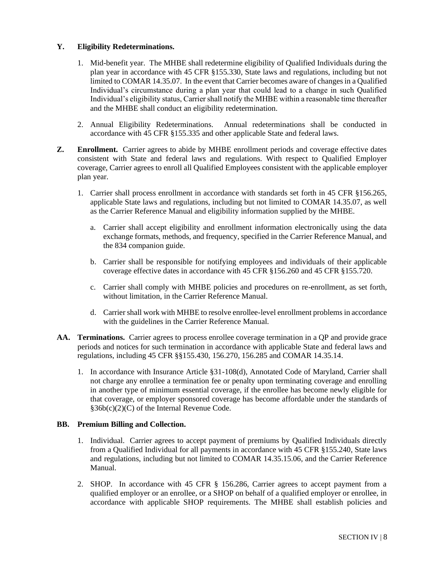#### **Y. Eligibility Redeterminations.**

- 1. Mid-benefit year. The MHBE shall redetermine eligibility of Qualified Individuals during the plan year in accordance with 45 CFR §155.330, State laws and regulations, including but not limited to COMAR 14.35.07. In the event that Carrier becomes aware of changes in a Qualified Individual's circumstance during a plan year that could lead to a change in such Qualified Individual's eligibility status, Carrier shall notify the MHBE within a reasonable time thereafter and the MHBE shall conduct an eligibility redetermination.
- 2. Annual Eligibility Redeterminations. Annual redeterminations shall be conducted in accordance with 45 CFR §155.335 and other applicable State and federal laws.
- **Z. Enrollment.** Carrier agrees to abide by MHBE enrollment periods and coverage effective dates consistent with State and federal laws and regulations. With respect to Qualified Employer coverage, Carrier agrees to enroll all Qualified Employees consistent with the applicable employer plan year.
	- 1. Carrier shall process enrollment in accordance with standards set forth in 45 CFR §156.265, applicable State laws and regulations, including but not limited to COMAR 14.35.07, as well as the Carrier Reference Manual and eligibility information supplied by the MHBE.
		- a. Carrier shall accept eligibility and enrollment information electronically using the data exchange formats, methods, and frequency, specified in the Carrier Reference Manual, and the 834 companion guide.
		- b. Carrier shall be responsible for notifying employees and individuals of their applicable coverage effective dates in accordance with 45 CFR §156.260 and 45 CFR §155.720.
		- c. Carrier shall comply with MHBE policies and procedures on re-enrollment, as set forth, without limitation, in the Carrier Reference Manual.
		- d. Carrier shall work with MHBE to resolve enrollee-level enrollment problems in accordance with the guidelines in the Carrier Reference Manual.
- **AA. Terminations.** Carrier agrees to process enrollee coverage termination in a QP and provide grace periods and notices for such termination in accordance with applicable State and federal laws and regulations, including 45 CFR §§155.430, 156.270, 156.285 and COMAR 14.35.14.
	- 1. In accordance with Insurance Article §31-108(d), Annotated Code of Maryland, Carrier shall not charge any enrollee a termination fee or penalty upon terminating coverage and enrolling in another type of minimum essential coverage, if the enrollee has become newly eligible for that coverage, or employer sponsored coverage has become affordable under the standards of §36b(c)(2)(C) of the Internal Revenue Code.

#### **BB. Premium Billing and Collection.**

- 1. Individual. Carrier agrees to accept payment of premiums by Qualified Individuals directly from a Qualified Individual for all payments in accordance with 45 CFR §155.240, State laws and regulations, including but not limited to COMAR 14.35.15.06, and the Carrier Reference Manual.
- 2. SHOP. In accordance with 45 CFR § 156.286, Carrier agrees to accept payment from a qualified employer or an enrollee, or a SHOP on behalf of a qualified employer or enrollee, in accordance with applicable SHOP requirements. The MHBE shall establish policies and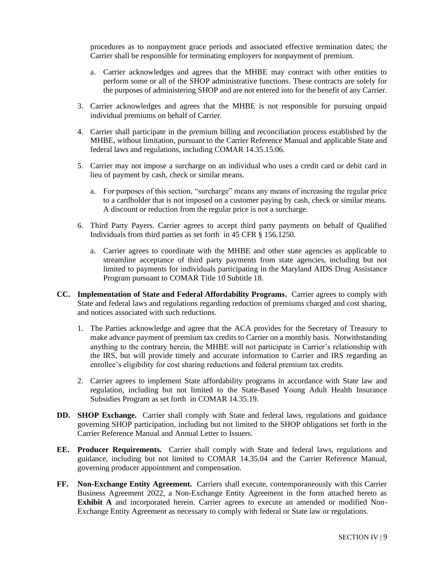procedures as to nonpayment grace periods and associated effective termination dates; the Carrier shall be responsible for terminating employers for nonpayment of premium.

- a. Carrier acknowledges and agrees that the MHBE may contract with other entities to perform some or all of the SHOP administrative functions. These contracts are solely for the purposes of administering SHOP and are not entered into for the benefit of any Carrier.
- 3. Carrier acknowledges and agrees that the MHBE is not responsible for pursuing unpaid individual premiums on behalf of Carrier.
- 4. Carrier shall participate in the premium billing and reconciliation process established by the MHBE, without limitation, pursuant to the Carrier Reference Manual and applicable State and federal laws and regulations, including COMAR 14.35.15.06.
- 5. Carrier may not impose a surcharge on an individual who uses a credit card or debit card in lieu of payment by cash, check or similar means.
	- a. For purposes of this section, "surcharge" means any means of increasing the regular price to a cardholder that is not imposed on a customer paying by cash, check or similar means. A discount or reduction from the regular price is not a surcharge.
- 6. Third Party Payers. Carrier agrees to accept third party payments on behalf of Qualified Individuals from third parties as set forth in 45 CFR § 156.1250.
	- a. Carrier agrees to coordinate with the MHBE and other state agencies as applicable to streamline acceptance of third party payments from state agencies, including but not limited to payments for individuals participating in the Maryland AIDS Drug Assistance Program pursuant to COMAR Title 10 Subtitle 18.
- **CC. Implementation of State and Federal Affordability Programs.** Carrier agrees to comply with State and federal laws and regulations regarding reduction of premiums charged and cost sharing, and notices associated with such reductions.
	- 1. The Parties acknowledge and agree that the ACA provides for the Secretary of Treasury to make advance payment of premium tax credits to Carrier on a monthly basis. Notwithstanding anything to the contrary herein, the MHBE will not participate in Carrier's relationship with the IRS, but will provide timely and accurate information to Carrier and IRS regarding an enrollee's eligibility for cost sharing reductions and federal premium tax credits.
	- 2. Carrier agrees to implement State affordability programs in accordance with State law and regulation, including but not limited to the State-Based Young Adult Health Insurance Subsidies Program as set forth in COMAR 14.35.19.
- **DD. SHOP Exchange.** Carrier shall comply with State and federal laws, regulations and guidance governing SHOP participation, including but not limited to the SHOP obligations set forth in the Carrier Reference Manual and Annual Letter to Issuers.
- **EE. Producer Requirements.** Carrier shall comply with State and federal laws, regulations and guidance, including but not limited to COMAR 14.35.04 and the Carrier Reference Manual, governing producer appointment and compensation.
- **FF. Non-Exchange Entity Agreement.** Carriers shall execute, contemporaneously with this Carrier Business Agreement 2022, a Non-Exchange Entity Agreement in the form attached hereto as **Exhibit A** and incorporated herein. Carrier agrees to execute an amended or modified Non-Exchange Entity Agreement as necessary to comply with federal or State law or regulations.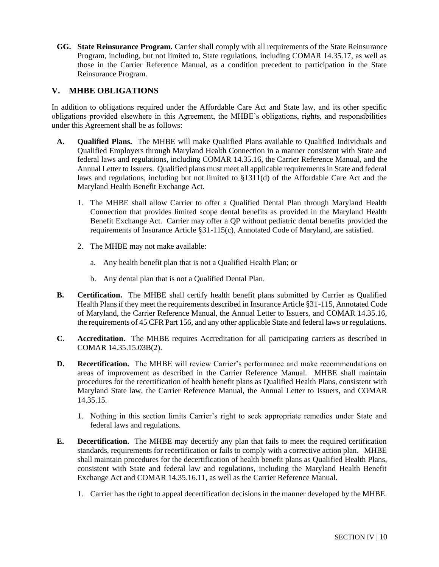**GG. State Reinsurance Program.** Carrier shall comply with all requirements of the State Reinsurance Program, including, but not limited to, State regulations, including COMAR 14.35.17, as well as those in the Carrier Reference Manual, as a condition precedent to participation in the State Reinsurance Program.

# **V. MHBE OBLIGATIONS**

In addition to obligations required under the Affordable Care Act and State law, and its other specific obligations provided elsewhere in this Agreement, the MHBE's obligations, rights, and responsibilities under this Agreement shall be as follows:

- **A. Qualified Plans.** The MHBE will make Qualified Plans available to Qualified Individuals and Qualified Employers through Maryland Health Connection in a manner consistent with State and federal laws and regulations, including COMAR 14.35.16, the Carrier Reference Manual, and the Annual Letter to Issuers. Qualified plans must meet all applicable requirements in State and federal laws and regulations, including but not limited to §1311(d) of the Affordable Care Act and the Maryland Health Benefit Exchange Act.
	- 1. The MHBE shall allow Carrier to offer a Qualified Dental Plan through Maryland Health Connection that provides limited scope dental benefits as provided in the Maryland Health Benefit Exchange Act. Carrier may offer a QP without pediatric dental benefits provided the requirements of Insurance Article §31-115(c), Annotated Code of Maryland, are satisfied.
	- 2. The MHBE may not make available:
		- a. Any health benefit plan that is not a Qualified Health Plan; or
		- b. Any dental plan that is not a Qualified Dental Plan.
- **B. Certification.** The MHBE shall certify health benefit plans submitted by Carrier as Qualified Health Plans if they meet the requirements described in Insurance Article §31-115, Annotated Code of Maryland, the Carrier Reference Manual, the Annual Letter to Issuers, and COMAR 14.35.16, the requirements of 45 CFR Part 156, and any other applicable State and federal laws or regulations.
- **C. Accreditation.** The MHBE requires Accreditation for all participating carriers as described in COMAR 14.35.15.03B(2).
- **D. Recertification.** The MHBE will review Carrier's performance and make recommendations on areas of improvement as described in the Carrier Reference Manual. MHBE shall maintain procedures for the recertification of health benefit plans as Qualified Health Plans, consistent with Maryland State law, the Carrier Reference Manual, the Annual Letter to Issuers, and COMAR 14.35.15.
	- 1. Nothing in this section limits Carrier's right to seek appropriate remedies under State and federal laws and regulations.
- **E. Decertification.** The MHBE may decertify any plan that fails to meet the required certification standards, requirements for recertification or fails to comply with a corrective action plan. MHBE shall maintain procedures for the decertification of health benefit plans as Qualified Health Plans, consistent with State and federal law and regulations, including the Maryland Health Benefit Exchange Act and COMAR 14.35.16.11, as well as the Carrier Reference Manual.
	- 1. Carrier has the right to appeal decertification decisions in the manner developed by the MHBE.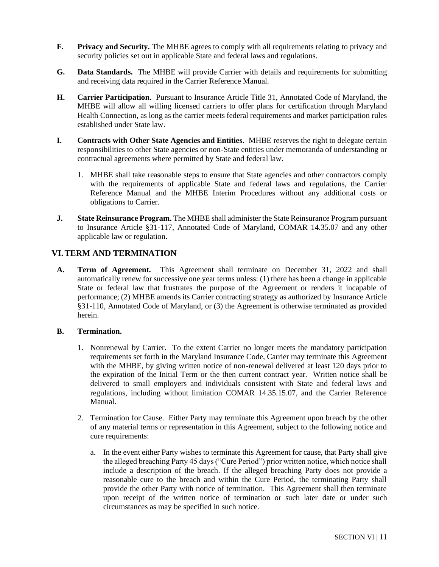- **F.** Privacy and Security. The MHBE agrees to comply with all requirements relating to privacy and security policies set out in applicable State and federal laws and regulations.
- **G. Data Standards.** The MHBE will provide Carrier with details and requirements for submitting and receiving data required in the Carrier Reference Manual.
- **H. Carrier Participation.** Pursuant to Insurance Article Title 31, Annotated Code of Maryland, the MHBE will allow all willing licensed carriers to offer plans for certification through Maryland Health Connection, as long as the carrier meets federal requirements and market participation rules established under State law.
- **I.** Contracts with Other State Agencies and Entities. MHBE reserves the right to delegate certain responsibilities to other State agencies or non-State entities under memoranda of understanding or contractual agreements where permitted by State and federal law.
	- 1. MHBE shall take reasonable steps to ensure that State agencies and other contractors comply with the requirements of applicable State and federal laws and regulations, the Carrier Reference Manual and the MHBE Interim Procedures without any additional costs or obligations to Carrier.
- **J. State Reinsurance Program.** The MHBE shall administer the State Reinsurance Program pursuant to Insurance Article §31-117, Annotated Code of Maryland, COMAR 14.35.07 and any other applicable law or regulation.

# **VI.TERM AND TERMINATION**

**A. Term of Agreement.** This Agreement shall terminate on December 31, 2022 and shall automatically renew for successive one year terms unless: (1) there has been a change in applicable State or federal law that frustrates the purpose of the Agreement or renders it incapable of performance; (2) MHBE amends its Carrier contracting strategy as authorized by Insurance Article §31-110, Annotated Code of Maryland, or (3) the Agreement is otherwise terminated as provided herein.

#### **B. Termination.**

- 1. Nonrenewal by Carrier. To the extent Carrier no longer meets the mandatory participation requirements set forth in the Maryland Insurance Code, Carrier may terminate this Agreement with the MHBE, by giving written notice of non-renewal delivered at least 120 days prior to the expiration of the Initial Term or the then current contract year. Written notice shall be delivered to small employers and individuals consistent with State and federal laws and regulations, including without limitation COMAR 14.35.15.07, and the Carrier Reference Manual.
- 2. Termination for Cause. Either Party may terminate this Agreement upon breach by the other of any material terms or representation in this Agreement, subject to the following notice and cure requirements:
	- a. In the event either Party wishes to terminate this Agreement for cause, that Party shall give the alleged breaching Party 45 days ("Cure Period") prior written notice, which notice shall include a description of the breach. If the alleged breaching Party does not provide a reasonable cure to the breach and within the Cure Period, the terminating Party shall provide the other Party with notice of termination. This Agreement shall then terminate upon receipt of the written notice of termination or such later date or under such circumstances as may be specified in such notice.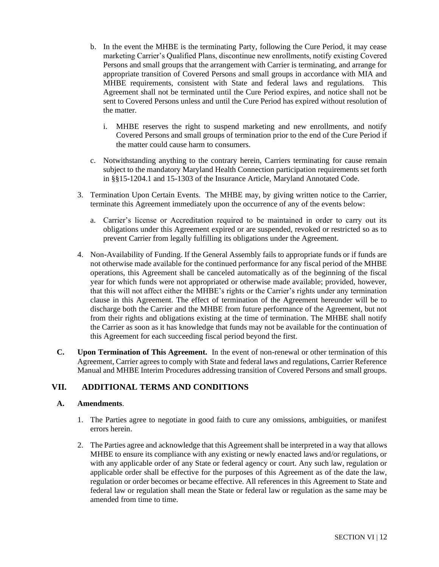- b. In the event the MHBE is the terminating Party, following the Cure Period, it may cease marketing Carrier's Qualified Plans, discontinue new enrollments, notify existing Covered Persons and small groups that the arrangement with Carrier is terminating, and arrange for appropriate transition of Covered Persons and small groups in accordance with MIA and MHBE requirements, consistent with State and federal laws and regulations. This Agreement shall not be terminated until the Cure Period expires, and notice shall not be sent to Covered Persons unless and until the Cure Period has expired without resolution of the matter.
	- i. MHBE reserves the right to suspend marketing and new enrollments, and notify Covered Persons and small groups of termination prior to the end of the Cure Period if the matter could cause harm to consumers.
- c. Notwithstanding anything to the contrary herein, Carriers terminating for cause remain subject to the mandatory Maryland Health Connection participation requirements set forth in §§15-1204.1 and 15-1303 of the Insurance Article, Maryland Annotated Code.
- 3. Termination Upon Certain Events. The MHBE may, by giving written notice to the Carrier, terminate this Agreement immediately upon the occurrence of any of the events below:
	- a. Carrier's license or Accreditation required to be maintained in order to carry out its obligations under this Agreement expired or are suspended, revoked or restricted so as to prevent Carrier from legally fulfilling its obligations under the Agreement.
- 4. Non-Availability of Funding. If the General Assembly fails to appropriate funds or if funds are not otherwise made available for the continued performance for any fiscal period of the MHBE operations, this Agreement shall be canceled automatically as of the beginning of the fiscal year for which funds were not appropriated or otherwise made available; provided, however, that this will not affect either the MHBE's rights or the Carrier's rights under any termination clause in this Agreement. The effect of termination of the Agreement hereunder will be to discharge both the Carrier and the MHBE from future performance of the Agreement, but not from their rights and obligations existing at the time of termination. The MHBE shall notify the Carrier as soon as it has knowledge that funds may not be available for the continuation of this Agreement for each succeeding fiscal period beyond the first.
- **C. Upon Termination of This Agreement.** In the event of non-renewal or other termination of this Agreement, Carrier agrees to comply with State and federal laws and regulations, Carrier Reference Manual and MHBE Interim Procedures addressing transition of Covered Persons and small groups.

# **VII. ADDITIONAL TERMS AND CONDITIONS**

#### **A. Amendments**.

- 1. The Parties agree to negotiate in good faith to cure any omissions, ambiguities, or manifest errors herein.
- 2. The Parties agree and acknowledge that this Agreement shall be interpreted in a way that allows MHBE to ensure its compliance with any existing or newly enacted laws and/or regulations, or with any applicable order of any State or federal agency or court. Any such law, regulation or applicable order shall be effective for the purposes of this Agreement as of the date the law, regulation or order becomes or became effective. All references in this Agreement to State and federal law or regulation shall mean the State or federal law or regulation as the same may be amended from time to time.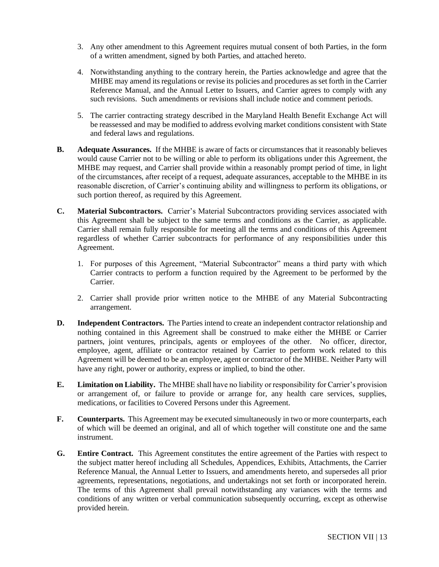- 3. Any other amendment to this Agreement requires mutual consent of both Parties, in the form of a written amendment, signed by both Parties, and attached hereto.
- 4. Notwithstanding anything to the contrary herein, the Parties acknowledge and agree that the MHBE may amend its regulations or revise its policies and procedures as set forth in the Carrier Reference Manual, and the Annual Letter to Issuers, and Carrier agrees to comply with any such revisions. Such amendments or revisions shall include notice and comment periods.
- 5. The carrier contracting strategy described in the Maryland Health Benefit Exchange Act will be reassessed and may be modified to address evolving market conditions consistent with State and federal laws and regulations.
- **B. Adequate Assurances.** If the MHBE is aware of facts or circumstances that it reasonably believes would cause Carrier not to be willing or able to perform its obligations under this Agreement, the MHBE may request, and Carrier shall provide within a reasonably prompt period of time, in light of the circumstances, after receipt of a request, adequate assurances, acceptable to the MHBE in its reasonable discretion, of Carrier's continuing ability and willingness to perform its obligations, or such portion thereof, as required by this Agreement.
- **C. Material Subcontractors.** Carrier's Material Subcontractors providing services associated with this Agreement shall be subject to the same terms and conditions as the Carrier, as applicable. Carrier shall remain fully responsible for meeting all the terms and conditions of this Agreement regardless of whether Carrier subcontracts for performance of any responsibilities under this Agreement.
	- 1. For purposes of this Agreement, "Material Subcontractor" means a third party with which Carrier contracts to perform a function required by the Agreement to be performed by the Carrier.
	- 2. Carrier shall provide prior written notice to the MHBE of any Material Subcontracting arrangement.
- **D. Independent Contractors.** The Parties intend to create an independent contractor relationship and nothing contained in this Agreement shall be construed to make either the MHBE or Carrier partners, joint ventures, principals, agents or employees of the other. No officer, director, employee, agent, affiliate or contractor retained by Carrier to perform work related to this Agreement will be deemed to be an employee, agent or contractor of the MHBE. Neither Party will have any right, power or authority, express or implied, to bind the other.
- **E. Limitation on Liability.** The MHBE shall have no liability or responsibility for Carrier's provision or arrangement of, or failure to provide or arrange for, any health care services, supplies, medications, or facilities to Covered Persons under this Agreement.
- **F. Counterparts.** This Agreement may be executed simultaneously in two or more counterparts, each of which will be deemed an original, and all of which together will constitute one and the same instrument.
- **G. Entire Contract.** This Agreement constitutes the entire agreement of the Parties with respect to the subject matter hereof including all Schedules, Appendices, Exhibits, Attachments, the Carrier Reference Manual, the Annual Letter to Issuers, and amendments hereto, and supersedes all prior agreements, representations, negotiations, and undertakings not set forth or incorporated herein. The terms of this Agreement shall prevail notwithstanding any variances with the terms and conditions of any written or verbal communication subsequently occurring, except as otherwise provided herein.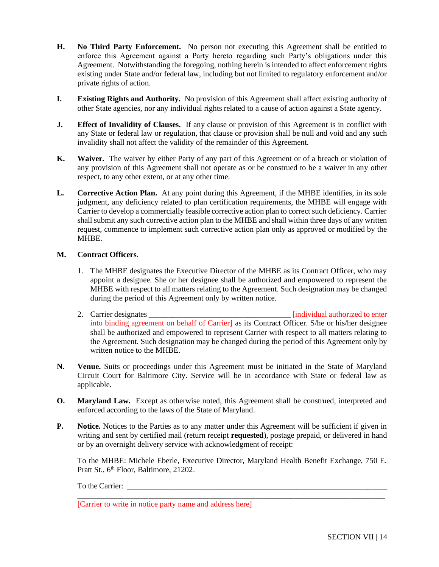- **H. No Third Party Enforcement.** No person not executing this Agreement shall be entitled to enforce this Agreement against a Party hereto regarding such Party's obligations under this Agreement. Notwithstanding the foregoing, nothing herein is intended to affect enforcement rights existing under State and/or federal law, including but not limited to regulatory enforcement and/or private rights of action.
- **I. Existing Rights and Authority.** No provision of this Agreement shall affect existing authority of other State agencies, nor any individual rights related to a cause of action against a State agency.
- **J. Effect of Invalidity of Clauses.** If any clause or provision of this Agreement is in conflict with any State or federal law or regulation, that clause or provision shall be null and void and any such invalidity shall not affect the validity of the remainder of this Agreement.
- **K. Waiver.** The waiver by either Party of any part of this Agreement or of a breach or violation of any provision of this Agreement shall not operate as or be construed to be a waiver in any other respect, to any other extent, or at any other time.
- **L. Corrective Action Plan.** At any point during this Agreement, if the MHBE identifies, in its sole judgment, any deficiency related to plan certification requirements, the MHBE will engage with Carrier to develop a commercially feasible corrective action plan to correct such deficiency. Carrier shall submit any such corrective action plan to the MHBE and shall within three days of any written request, commence to implement such corrective action plan only as approved or modified by the MHBE.

## **M. Contract Officers**.

- 1. The MHBE designates the Executive Director of the MHBE as its Contract Officer, who may appoint a designee. She or her designee shall be authorized and empowered to represent the MHBE with respect to all matters relating to the Agreement. Such designation may be changed during the period of this Agreement only by written notice.
- 2. Carrier designates \_\_\_\_\_\_\_\_\_\_\_\_\_\_\_\_\_\_\_\_\_\_\_\_\_\_\_\_\_\_\_\_\_\_\_\_ [individual authorized to enter into binding agreement on behalf of Carrier] as its Contract Officer. S/he or his/her designee shall be authorized and empowered to represent Carrier with respect to all matters relating to the Agreement. Such designation may be changed during the period of this Agreement only by written notice to the MHBE.
- **N. Venue.** Suits or proceedings under this Agreement must be initiated in the State of Maryland Circuit Court for Baltimore City. Service will be in accordance with State or federal law as applicable.
- **O. Maryland Law.** Except as otherwise noted, this Agreement shall be construed, interpreted and enforced according to the laws of the State of Maryland.
- **P. Notice.** Notices to the Parties as to any matter under this Agreement will be sufficient if given in writing and sent by certified mail (return receipt **requested**), postage prepaid, or delivered in hand or by an overnight delivery service with acknowledgment of receipt:

To the MHBE: Michele Eberle, Executive Director, Maryland Health Benefit Exchange, 750 E. Pratt St., 6<sup>th</sup> Floor, Baltimore, 21202.

\_\_\_\_\_\_\_\_\_\_\_\_\_\_\_\_\_\_\_\_\_\_\_\_\_\_\_\_\_\_\_\_\_\_\_\_\_\_\_\_\_\_\_\_\_\_\_\_\_\_\_\_\_\_\_\_\_\_\_\_\_\_\_\_\_\_\_\_\_\_\_\_\_\_\_\_\_\_

To the Carrier:

[Carrier to write in notice party name and address here]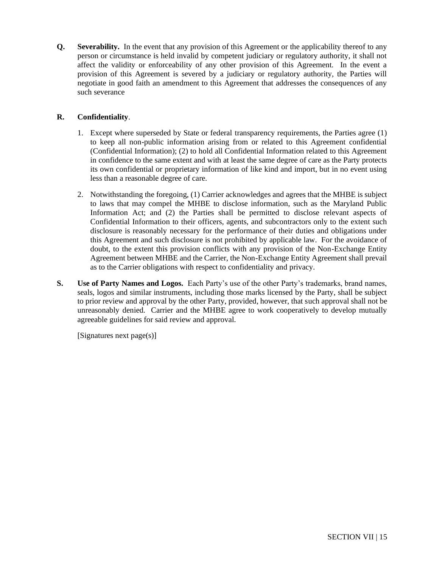**Q. Severability.** In the event that any provision of this Agreement or the applicability thereof to any person or circumstance is held invalid by competent judiciary or regulatory authority, it shall not affect the validity or enforceability of any other provision of this Agreement. In the event a provision of this Agreement is severed by a judiciary or regulatory authority, the Parties will negotiate in good faith an amendment to this Agreement that addresses the consequences of any such severance

## **R. Confidentiality**.

- 1. Except where superseded by State or federal transparency requirements, the Parties agree (1) to keep all non-public information arising from or related to this Agreement confidential (Confidential Information); (2) to hold all Confidential Information related to this Agreement in confidence to the same extent and with at least the same degree of care as the Party protects its own confidential or proprietary information of like kind and import, but in no event using less than a reasonable degree of care.
- 2. Notwithstanding the foregoing, (1) Carrier acknowledges and agrees that the MHBE is subject to laws that may compel the MHBE to disclose information, such as the Maryland Public Information Act; and (2) the Parties shall be permitted to disclose relevant aspects of Confidential Information to their officers, agents, and subcontractors only to the extent such disclosure is reasonably necessary for the performance of their duties and obligations under this Agreement and such disclosure is not prohibited by applicable law. For the avoidance of doubt, to the extent this provision conflicts with any provision of the Non-Exchange Entity Agreement between MHBE and the Carrier, the Non-Exchange Entity Agreement shall prevail as to the Carrier obligations with respect to confidentiality and privacy.
- **S. Use of Party Names and Logos.** Each Party's use of the other Party's trademarks, brand names, seals, logos and similar instruments, including those marks licensed by the Party, shall be subject to prior review and approval by the other Party, provided, however, that such approval shall not be unreasonably denied. Carrier and the MHBE agree to work cooperatively to develop mutually agreeable guidelines for said review and approval.

[Signatures next page(s)]